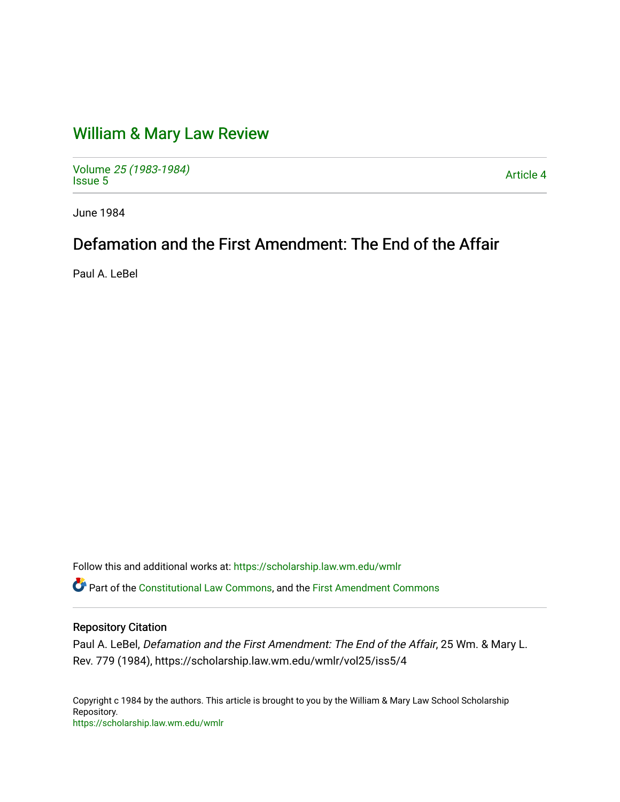# [William & Mary Law Review](https://scholarship.law.wm.edu/wmlr)

Volume [25 \(1983-1984\)](https://scholarship.law.wm.edu/wmlr/vol25)  Polarite 25 (1965-1964)<br>[Issue 5](https://scholarship.law.wm.edu/wmlr/vol25/iss5) Article 4

June 1984

# Defamation and the First Amendment: The End of the Affair

Paul A. LeBel

Follow this and additional works at: [https://scholarship.law.wm.edu/wmlr](https://scholarship.law.wm.edu/wmlr?utm_source=scholarship.law.wm.edu%2Fwmlr%2Fvol25%2Fiss5%2F4&utm_medium=PDF&utm_campaign=PDFCoverPages)

Part of the [Constitutional Law Commons,](http://network.bepress.com/hgg/discipline/589?utm_source=scholarship.law.wm.edu%2Fwmlr%2Fvol25%2Fiss5%2F4&utm_medium=PDF&utm_campaign=PDFCoverPages) and the [First Amendment Commons](http://network.bepress.com/hgg/discipline/1115?utm_source=scholarship.law.wm.edu%2Fwmlr%2Fvol25%2Fiss5%2F4&utm_medium=PDF&utm_campaign=PDFCoverPages)

# Repository Citation

Paul A. LeBel, Defamation and the First Amendment: The End of the Affair, 25 Wm. & Mary L. Rev. 779 (1984), https://scholarship.law.wm.edu/wmlr/vol25/iss5/4

Copyright c 1984 by the authors. This article is brought to you by the William & Mary Law School Scholarship Repository. <https://scholarship.law.wm.edu/wmlr>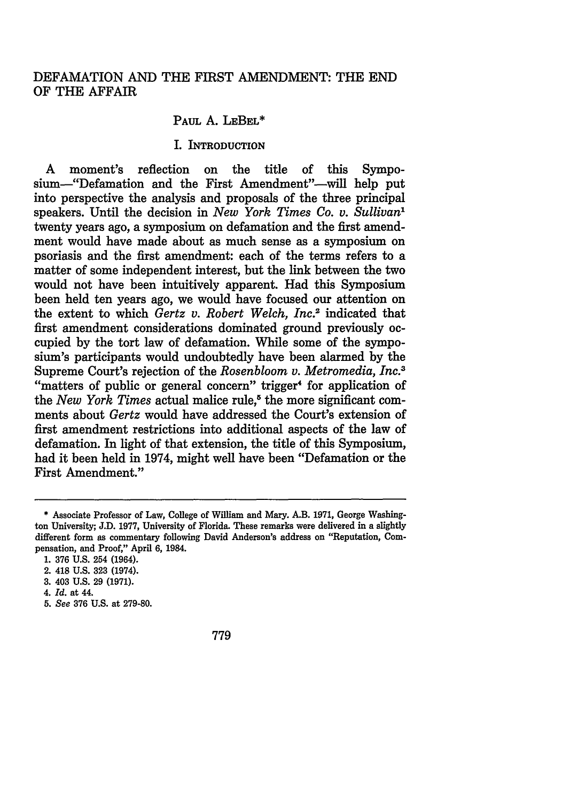## DEFAMATION AND THE FIRST AMENDMENT: THE END OF THE AFFAIR

## PAUL A. LEBEL\*

#### I. **INTRODUCTION**

A moment's reflection on the title of this Symposium-"Defamation and the First Amendment"--will help put into perspective the analysis and proposals of the three principal speakers. Until the decision in *New York Times Co. v. Sullivan"* twenty years ago, a symposium on defamation and the first amendment would have made about as much sense as a symposium on psoriasis and the first amendment: each of the terms refers to a matter of some independent interest, but the link between the two would not have been intuitively apparent. Had this Symposium been held ten years ago, we would have focused our attention on the extent to which *Gertz v. Robert Welch, Inc.2* indicated that first amendment considerations dominated ground previously occupied **by** the tort law of defamation. While some of the symposium's participants would undoubtedly have been alarmed **by** the Supreme Court's rejection of the *Rosenbloom v. Metromedia, Inc.3* "matters of public or general concern" trigger<sup>4</sup> for application of the *New York Times* actual malice rule,<sup>8</sup> the more significant comments about *Gertz* would have addressed the Court's extension of first amendment restrictions into additional aspects of the law of defamation. In light of that extension, the title of this Symposium, had it been held in 1974, might well have been "Defamation or the First Amendment."

- **3.** 403 **U.S. 29 (1971).**
- 4. *Id.* at 44.
- *5. See* **376 U.S.** at **279-80.**

779

<sup>\*</sup> Associate Professor of Law, College of William and Mary. A.B. **1971,** George Washington University; **J.D. 1977,** University of Florida. These remarks were delivered in a slightly different form as commentary following David Anderson's address on "Reputation, Compensation, and Proof," April **6,** 1984.

**<sup>1. 376</sup> U.S.** 254 (1964).

<sup>2. 418</sup> **U.S. 323** (1974).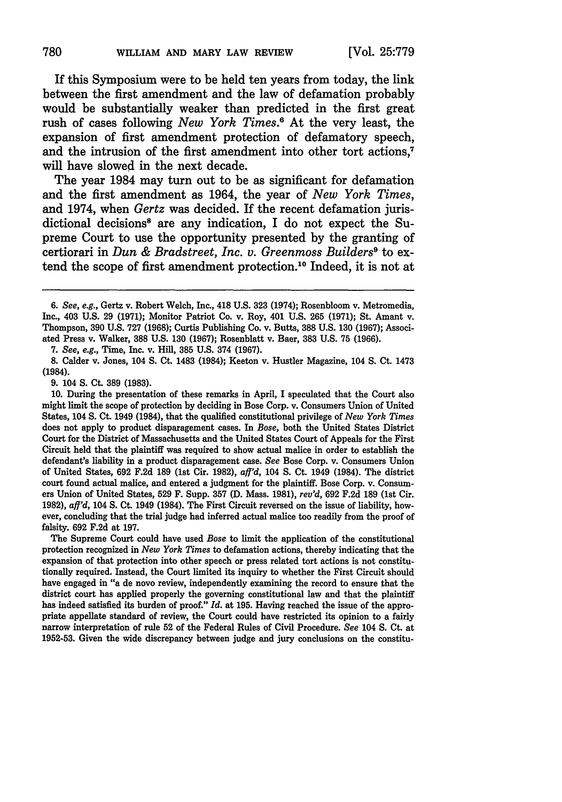If this Symposium were to be held ten years from today, the link between the first amendment and the law of defamation probably would be substantially weaker than predicted in the first great rush of cases following *New York Times.6* At the very least, the expansion of first amendment protection of defamatory speech, and the intrusion of the first amendment into other tort actions,<sup>7</sup> will have slowed in the next decade.

The year 1984 may turn out to be as significant for defamation and the first amendment as 1964, the year of *New York Times,* and 1974, when *Gertz* was decided. If the recent defamation jurisdictional decisions<sup>8</sup> are any indication, I do not expect the Supreme Court to use the opportunity presented by the granting of certiorari in *Dun & Bradstreet, Inc. v. Greenmoss Builders9* to extend the scope of first amendment protection.<sup>10</sup> Indeed, it is not at

7. *See, e.g.,* Time, Inc. v. Hill, **385** U.S. 374 **(1967).**

**8.** Calder v. Jones, 104 **S.** Ct. 1483 (1984); Keeton v. Hustler Magazine, 104 **S.** Ct. 1473 (1984).

9. 104 **S. CL 389** (1983).

**10.** During the presentation of these remarks in April, I speculated that the Court also might limit the scope of protection **by** deciding in Bose Corp. v. Consumers Union of United States, 104 **S.** Ct. 1949 (1984), that the qualified constitutional privilege of *New York Times* does not apply to product disparagement cases. In *Bose,* both the United States District Court for the District of Massachusetts and the United States Court of Appeals for the First Circuit held that the plaintiff was required to show actual malice in order to establish the defendant's liability in a product disparagement case. *See* Bose Corp. v. Consumers Union of United States, **692 F.2d 189** (1st Cir. **1982),** *af'd,* <sup>104</sup>**S.** Ct. 1949 (1984). The district court found actual malice, and entered a judgment for the plaintiff. Bose Corp. v. Consumers Union of United States, **529** F. Supp. **357 (D.** Mass. 1981), *rev'd,* **692 F.2d 189** (1st Cir. **1982),** *aff'd,* 104 **S.** Ct. 1949 (1984). The First Circuit reversed on the issue of liability, however, concluding that the trial judge had inferred actual malice too readily from the proof of falsity. **692 F.2d** at **197.**

The Supreme Court could have used *Bose* to limit the application of the constitutional protection recognized in *New York Times* to defamation actions, thereby indicating that the expansion of that protection into other speech or press related tort actions is not constitutionally required. Instead, the Court limited its inquiry to whether the First Circuit should have engaged in "a de novo review, independently examining the record to ensure that the district court has applied properly the governing constitutional law and that the plaintiff has indeed satisfied its burden of proof." *Id.* at **195.** Having reached the issue of the appropriate appellate standard of review, the Court could have restricted its opinion to a fairly narrow interpretation of rule **52** of the Federal Rules of Civil Procedure. *See* 104 **S.** Ct. at **1952-53.** Given the wide discrepancy between judge and jury conclusions on the constitu-

*<sup>6.</sup> See, e.g.,* Gertz v. Robert Welch, Inc., 418 **U.S. 323** (1974); Rosenbloom v. Metromedia, Inc., 403 U.S. 29 (1971); Monitor Patriot Co. v. Roy, 401 U.S. 265 (1971); St. Amant v. Thompson, 390 U.S. 727 (1968); Curtis Publishing Co. v. Butts, 388 U.S. 130 (1967); Associated Press v. Walker, **388** U.S. 130 (1967); Rosenblatt v. Baer, 383 U.S. **75** (1966).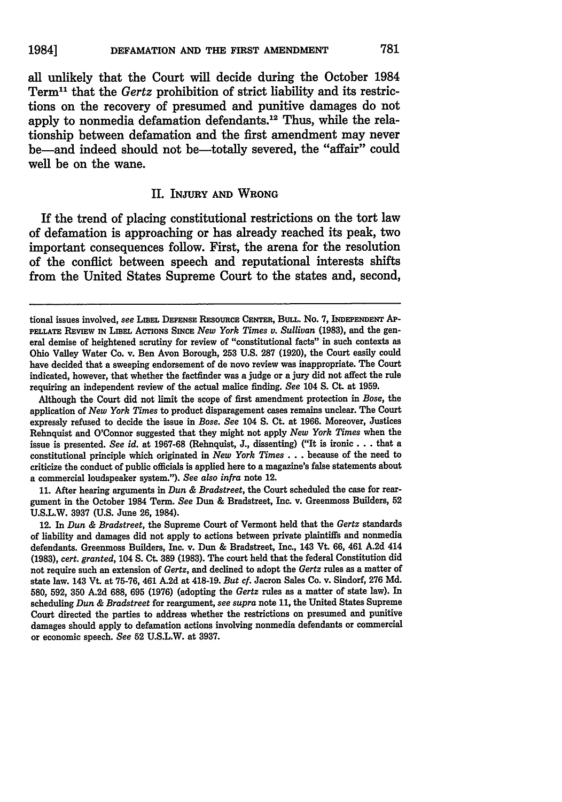all unlikely that the Court will decide during the October 1984 Term11 that the Gertz prohibition of strict liability and its restrictions on the recovery of presumed and punitive damages do not apply to nonmedia defamation defendants.12 Thus, while the relationship between defamation and the first amendment may never be-and indeed should not be-totally severed, the "affair" could well be on the wane.

## **II.** INJURY **AND** WRONG

If the trend of placing constitutional restrictions on the tort law of defamation is approaching or has already reached its peak, two important consequences follow. First, the arena for the resolution of the conflict between speech and reputational interests shifts from the United States Supreme Court to the states and, second,

Although the Court did not limit the scope of first amendment protection in *Bose,* the application of *New York Times* to product disparagement cases remains unclear. The Court expressly refused to decide the issue in *Bose. See* 104 **S.** Ct. at **1966.** Moreover, Justices Rehnquist and O'Connor suggested that they might not apply *New York Times* when the issue is presented. *See id.* at **1967-68** (Rehnquist, **J.,** dissenting) ("It is ironic **...** that a constitutional principle which originated in *New York Times...* because of the need to criticize the conduct of public officials is applied here to a magazine's false statements about a commercial loudspeaker system."). *See also infra* note 12.

**11.** After hearing arguments in *Dun & Bradstreet,* the Court scheduled the case for reargument in the October 1984 Term. *See* Dun **&** Bradstreet, Inc. v. Greenmoss Builders, **52 U.S.L.W. 3937 (U.S.** June **26,** 1984).

12. In *Dun & Bradstreet,* the Supreme Court of Vermont held that the *Gertz* standards of liability and damages did not apply to actions between private plaintiffs and nonmedia defendants. Greenmoss Builders, Inc. v. Dun & Bradstreet, Inc., 143 Vt. 66, 461 A.2d 414 (1983), *cert. granted,* 104 **S.** Ct. **389 (1983).** The court held that the federal Constitution did not require such an extension of *Gertz,* and declined to adopt the *Gertz* rules as a matter of state law. 143 Vt. at 75-76, 461 A.2d at 418-19. *But cf.* Jacron Sales Co. v. Sindorf, 276 Md. **580,** 592, **350** A.2d **688,** 695 (1976) (adopting the *Gertz* rules as a matter of state law). In scheduling *Dun & Bradstreet* for reargument, *see supra* note **11,** the United States Supreme Court directed the parties to address whether the restrictions on presumed and punitive damages should apply to defamation actions involving nonmedia defendants or commercial or economic speech. *See* **52** U.S.L.W. at **3937.**

tional issues involved, see **LIEEL** DEFENSE RESoURcE **CENTER, BuLL.** No. **7, INDEPENDENT AP-PELLATE REVIEW IN** LIBEL **ACTIONS SINCE** *New York Times v. Sullivan* **(1983),** and the general demise of heightened scrutiny for review of "constitutional facts" in such contexts as Ohio Valley Water Co. v. Ben Avon Borough, **253 U.S. 287 (1920),** the Court easily could have decided that a sweeping endorsement of de novo review was inappropriate. The Court indicated, however, that whether the factfinder was a judge or a jury did not affect the rule requiring an independent review of the actual malice finding. *See* 104 **S.** Ct. at **1959.**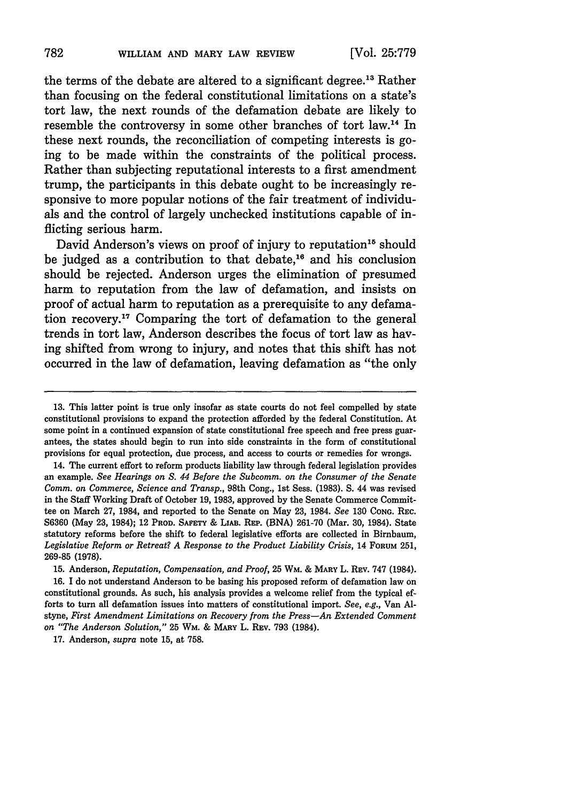the terms of the debate are altered to a significant degree.13 Rather than focusing on the federal constitutional limitations on a state's tort law, the next rounds of the defamation debate are likely to resemble the controversy in some other branches of tort law.<sup>14</sup> In these next rounds, the reconciliation of competing interests is going to be made within the constraints of the political process. Rather than subjecting reputational interests to a first amendment trump, the participants in this debate ought to be increasingly responsive to more popular notions of the fair treatment of individuals and the control of largely unchecked institutions capable of inflicting serious harm.

David Anderson's views on proof of injury to reputation<sup>15</sup> should be judged as a contribution to that debate, $16$  and his conclusion should be rejected. Anderson urges the elimination of presumed harm to reputation from the law of defamation, and insists on proof of actual harm to reputation as a prerequisite to any defamation recovery.<sup>17</sup> Comparing the tort of defamation to the general trends in tort law, Anderson describes the focus of tort law as having shifted from wrong to injury, and notes that this shift has not occurred in the law of defamation, leaving defamation as "the only

14. The current effort to reform products liability law through federal legislation provides an example. *See Hearings on S. 44 Before the Subcomm. on the Consumer of the Senate Comm. on Commerce, Science and Transp.,* 98th Cong., 1st Sess. (1983). S. 44 was revised in the Staff Working Draft of October 19, 1983, approved by the Senate Commerce Committee on March 27, 1984, and reported to the Senate on May 23, 1984. *See* 130 **CONG.** REc. **S6360** (May **23,** 1984); 12 PROD. **SAFETY** & LIAB. REP. **(BNA)** 261-70 (Mar. 30, 1984). State statutory reforms before the shift to federal legislative efforts are collected in Birnbaum, *Legislative Reform or Retreat? A Response to the Product Liability Crisis,* 14 FORUM **251,** 269-85 **(1978).**

15. Anderson, *Reputation, Compensation, and Proof,* 25 WM. & MARY L. REv. **747** (1984). **16.** I do not understand Anderson to be basing his proposed reform of defamation law on constitutional grounds. As such, his analysis provides a welcome relief from the typical efforts to turn all defamation issues into matters of constitutional import. *See, e.g.,* Van **Al**styne, *First Amendment Limitations on Recovery from the Press-An Extended Comment on "The Anderson Solution,"* 25 WM. **& MARY** L. REv. 793 (1984).

17. Anderson, *supra* note 15, at 758.

**<sup>13.</sup>** This latter point is true only insofar as state courts do not feel compelled **by** state constitutional provisions to expand the protection afforded **by** the federal Constitution. At some point in a continued expansion of state constitutional free speech and free press guarantees, the states should begin to run into side constraints in the form of constitutional provisions for equal protection, due process, and access to courts or remedies for wrongs.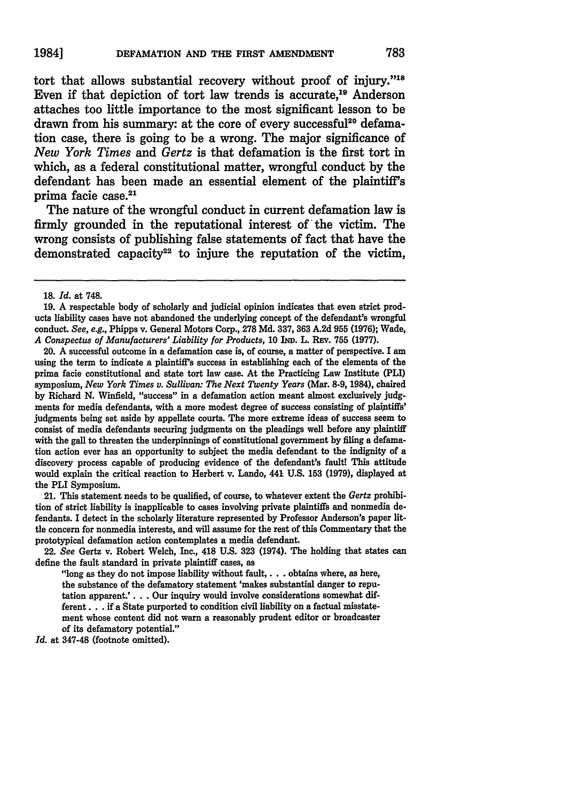tort that allows substantial recovery without proof of injury."<sup>18</sup> Even if that depiction of tort law trends is accurate.<sup>19</sup> Anderson attaches too little importance to the most significant lesson to be drawn from his summary: at the core of every successful<sup>20</sup> defamation case, there is going to be a wrong. The major significance of *New York Times and Gertz* is that defamation is the first tort in which, as a federal constitutional matter, wrongful conduct by the defendant has been made an essential element of the plaintiff's prima facie case.<sup>21</sup>

The nature of the wrongful conduct in current defamation law is firmly grounded in the reputational interest of'the victim. The wrong consists of publishing false statements of fact that have the demonstrated capacity<sup>22</sup> to injure the reputation of the victim,

20. A successful outcome in a defamation case is, of course, a matter of perspective. I am using the term to indicate a plaintiff's success in establishing each of the elements of the prima facie constitutional and state tort law case. At the Practicing Law Institute **(PLI)** symposium, *New York Times v. Sullivan: The Next Twenty Years* (Mar. **8-9, 1984),** chaired **by** Richard **N.** Winfield, "success" in a defamation action meant almost exclusively **judg**ments for media defendants, with a more modest degree of success consisting of plaiptiffs' judgments being set aside **by** appellate courts. The more extreme ideas of success seem to consist of media defendants securing judgments on the pleadings well before any plaintiff with the gall to threaten the underpinnings of constitutional government **by** filing a defamation action ever has an opportunity to subject the media defendant to the indignity of a discovery process capable of producing evidence of the defendant's fault! This attitude would explain the critical reaction to Herbert v. Lando, 441 **U.S. 153 (1979),** displayed at the PLI Symposium.

21. This statement needs to be qualified, of course, to whatever extent the *Gertz* prohibition of strict liability is inapplicable to cases involving private plaintiffs and nonmedia defendants. I detect in the scholarly literature represented **by** Professor Anderson's paper little concern for nonmedia interests, and will assume for the rest of this Commentary that the prototypical defamation action contemplates a media defendant.

22. *See* Gertz v. Robert Welch, Inc., **418 U.S. 323** (1974). The holding that states can define the fault standard in private plaintiff cases, as

"long as they do not impose liability without fault,. **. .** obtains where, as here, the substance of the defamatory statement 'makes substantial danger to reputation apparent.'. **. .** Our inquiry would involve considerations somewhat different... **if** a State purported to condition civil liability on a factual misstatement whose content did not warn a reasonably prudent editor or broadcaster of its defamatory potential."

*Id.* at 347-48 (footnote omitted).

<sup>18.</sup> *Id.* at 748.

**<sup>19.</sup>** A respectable body of scholarly and judicial opinion indicates that even strict products liability cases have not abandoned the underlying concept of the defendant's wrongful conduct. *See,* e.g., Phipps v. General Motors Corp., **278 Md. 337, 363 A.2d 955 (1976);** Wade, *A Conspectus of Manufacturers' Liability for Products,* **10** IND. L. Rav. **755 (1977).**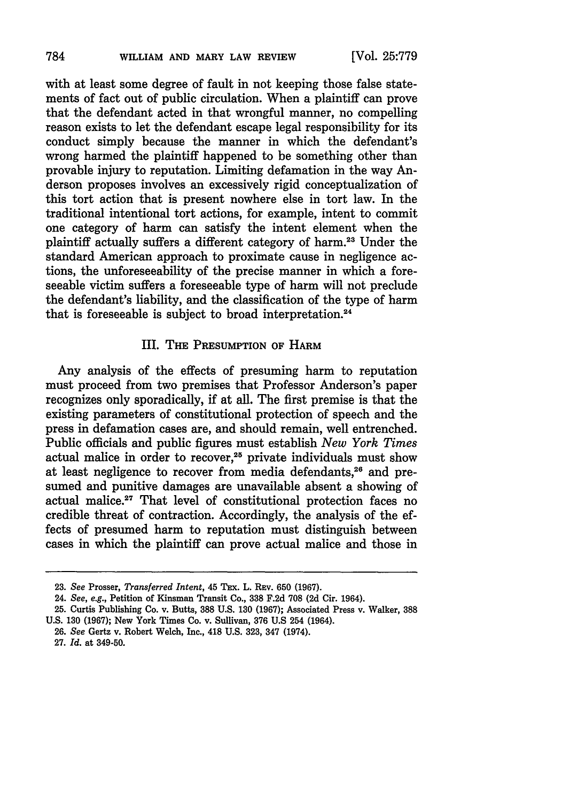with at least some degree of fault in not keeping those false statements of fact out of public circulation. When a plaintiff can prove that the defendant acted in that wrongful manner, no compelling reason exists to let the defendant escape legal responsibility for its conduct simply because the manner in which the defendant's wrong harmed the plaintiff happened to be something other than provable injury to reputation. Limiting defamation in the way Anderson proposes involves an excessively rigid conceptualization of this tort action that is present nowhere else in tort law. In the traditional intentional tort actions, for example, intent to commit one category of harm can satisfy the intent element when the plaintiff actually suffers a different category of harm.<sup>23</sup> Under the standard American approach to proximate cause in negligence actions, the unforeseeability of the precise manner in which a foreseeable victim suffers a foreseeable type of harm will not preclude the defendant's liability, and the classification of the type of harm that is foreseeable is subject to broad interpretation.<sup>24</sup>

## III. **THE PRESUMPTION OF** HARM

Any analysis of the effects of presuming harm to reputation must proceed from two premises that Professor Anderson's paper recognizes only sporadically, if at all. The first premise is that the existing parameters of constitutional protection of speech and the press in defamation cases are, and should remain, well entrenched. Public officials and public figures must establish *New York Times* actual malice in order to recover,<sup>25</sup> private individuals must show at least negligence to recover from media defendants, 26 and presumed and punitive damages are unavailable absent a showing of actual malice.<sup>27</sup> That level of constitutional protection faces no credible threat of contraction. Accordingly, the analysis of the effects of presumed harm to reputation must distinguish between cases in which the plaintiff can prove actual malice and those in

**<sup>23.</sup>** *See* Prosser, *Transferred Intent,* 45 **TEx.** L. **REv. 650 (1967).**

<sup>24.</sup> *See, e.g.,* Petition of Kinsman Transit Co., **338 F.2d 708 (2d** Cir. 1964).

**<sup>25.</sup>** Curtis Publishing Co. v. Butts, **388 U.S. 130 (1967);** Associated Press v. Walker, **388 U.S. 130 (1967);** New York Times Co. v. Sullivan, **376 U.S** 254 (1964).

**<sup>26.</sup>** *See* Gertz v. Robert Welch, Inc., 418 **U.S. 323,** 347 (1974).

**<sup>27.</sup>** *Id.* at 349-50.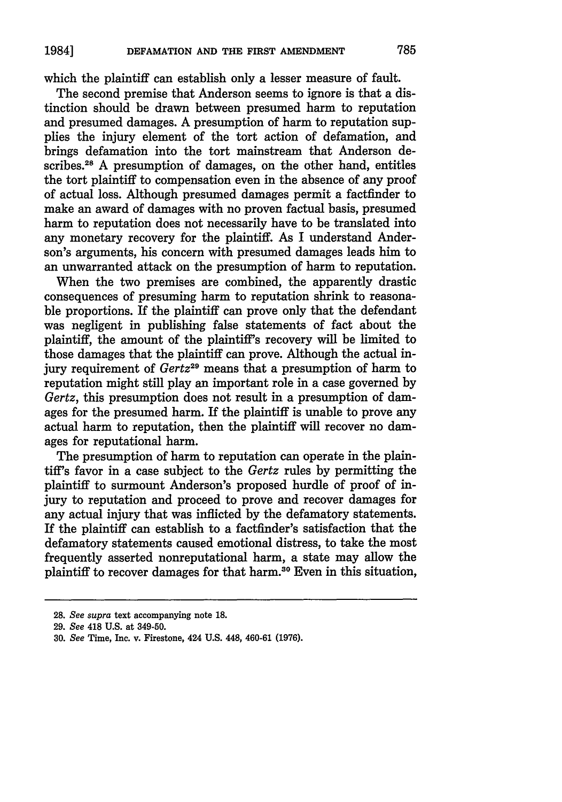which the plaintiff can establish only a lesser measure of fault.

The second premise that Anderson seems to ignore is that a distinction should be drawn between presumed harm to reputation and presumed damages. A presumption of harm to reputation supplies the injury element of the tort action of defamation, and brings defamation into the tort mainstream that Anderson describes.<sup>28</sup> A presumption of damages, on the other hand, entitles the tort plaintiff to compensation even in the absence of any proof of actual loss. Although presumed damages permit a factfinder to make an award of damages with no proven factual basis, presumed harm to reputation does not necessarily have to be translated into any monetary recovery for the plaintiff. As I understand Anderson's arguments, his concern with presumed damages leads him to an unwarranted attack on the presumption of harm to reputation.

When the two premises are combined, the apparently drastic consequences of presuming harm to reputation shrink to reasonable proportions. If the plaintiff can prove only that the defendant was negligent in publishing false statements of fact about the plaintiff, the amount of the plaintiff's recovery will be limited to those damages that the plaintiff can prove. Although the actual injury requirement of Gertz<sup>29</sup> means that a presumption of harm to reputation might still play an important role in a case governed by Gertz, this presumption does not result in a presumption of damages for the presumed harm. If the plaintiff is unable to prove any actual harm to reputation, then the plaintiff will recover no damages for reputational harm.

The presumption of harm to reputation can operate in the plaintiff's favor in a case subject to the Gertz rules by permitting the plaintiff to surmount Anderson's proposed hurdle of proof of injury to reputation and proceed to prove and recover damages for any actual injury that was inflicted by the defamatory statements. If the plaintiff can establish to a factfinder's satisfaction that the defamatory statements caused emotional distress, to take the most frequently asserted nonreputational harm, a state may allow the plaintiff to recover damages for that harm.<sup>30</sup> Even in this situation,

<sup>28.</sup> *See supra* text accompanying note **18.**

<sup>29.</sup> *See* 418 U.S. at 349-50.

<sup>30.</sup> *See* Time, Inc. v. Firestone, 424 U.S. 448, 460-61 (1976).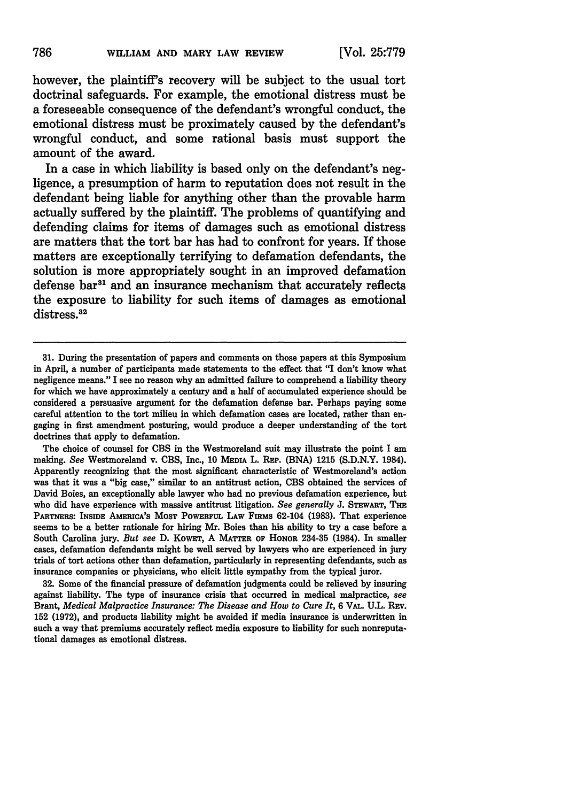however, the plaintiff's recovery will be subject to the usual tort doctrinal safeguards. For example, the emotional distress must be a foreseeable consequence of the defendant's wrongful conduct, the emotional distress must be proximately caused **by** the defendant's wrongful conduct, and some rational basis must support the amount of the award.

In a case in which liability is based only on the defendant's negligence, a presumption of harm to reputation does not result in the defendant being liable for anything other than the provable harm actually suffered **by** the plaintiff. The problems of quantifying and defending claims for items of damages such as emotional distress are matters that the tort bar has had to confront for years. **If** those matters are exceptionally terrifying to defamation defendants, the solution is more appropriately sought in an improved defamation defense bar<sup>31</sup> and an insurance mechanism that accurately reflects the exposure to liability for such items of damages as emotional distress.<sup>32</sup>

The choice of counsel for **CBS** in the Westmoreland suit may illustrate the point I am making. *See* Westmoreland v. CBS, Inc., 10 MEDIA L. REP. (BNA) 1215 (S.D.N.Y. 1984). Apparently recognizing that the most significant characteristic of Westmoreland's action was that it was a "big case," similar to an antitrust action, **CBS** obtained the services of David Boies, an exceptionally able lawyer who had no previous defamation experience, but who did have experience with massive antitrust litigation. See generally **J. STEWART**, THE PARTNERS: INSIDE AMERICA'S MOST POWERFUL LAW FiRMS 62-104 (1983). That experience seems to be a better rationale for hiring Mr. Boies than his ability to try a case before a South Carolina jury. *But see* D. KowET, A MATTER OF HONOR 234-35 (1984). In smaller cases, defamation defendants might be well served by lawyers who are experienced in jury trials of tort actions other than defamation, particularly in representing defendants, such as insurance companies or physicians, who elicit little sympathy from the typical juror.

32. Some of the financial pressure of defamation judgments could be relieved by insuring against liability. The type of insurance crisis that occurred in medical malpractice, *see* Brant, *Medical Malpractice Insurance: The Disease and How to Cure It, 6 VAL. U.L. Rev.* 152 (1972), **and** products liability might be avoided if media insurance is underwritten in such a way that premiums accurately reflect media exposure to liability for such nonreputational damages as emotional distress.

<sup>31.</sup> During the presentation of papers and comments on those papers at this Symposium in April, a number of participants made statements to the effect that "I don't know what negligence means." **I** see no reason why an admitted failure to comprehend a liability theory for which we have approximately a century and a half of accumulated experience should be considered a persuasive argument for the defamation defense bar. Perhaps paying some careful attention to the tort milieu in which defamation cases are located, rather than engaging in first amendment posturing, would produce a deeper understanding of the tort doctrines that apply to defamation.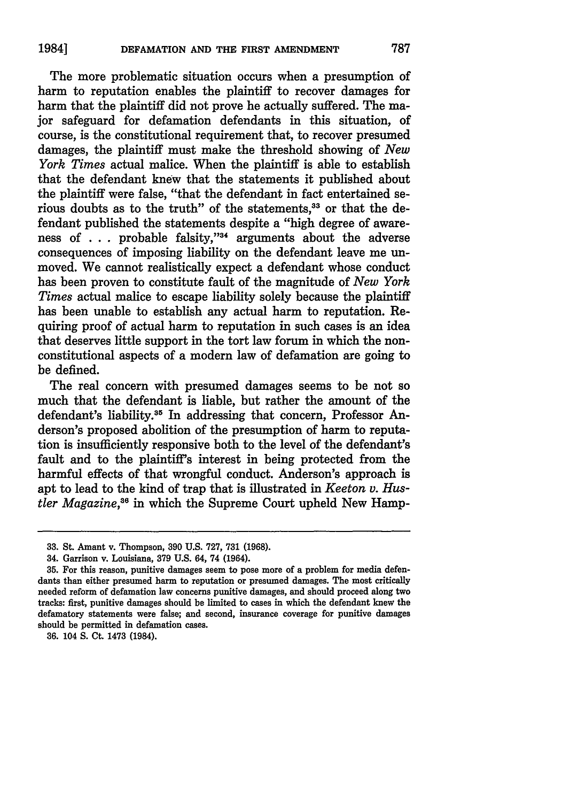The more problematic situation occurs when a presumption of harm to reputation enables the plaintiff to recover damages for harm that the plaintiff did not prove he actually suffered. The major safeguard for defamation defendants in this situation, of course, is the constitutional requirement that, to recover presumed damages, the plaintiff must make the threshold showing of *New York Times* actual malice. When the plaintiff is able to establish that the defendant knew that the statements it published about the plaintiff were false, "that the defendant in fact entertained serious doubts as to the truth" of the statements,<sup>33</sup> or that the defendant published the statements despite a "high degree of awareness of . . . probable falsity,"<sup>34</sup> arguments about the adverse consequences of imposing liability on the defendant leave me unmoved. We cannot realistically expect a defendant whose conduct has been proven to constitute fault of the magnitude of *New York Times* actual malice to escape liability solely because the plaintiff has been unable to establish any actual harm to reputation. Requiring proof of actual harm to reputation in such cases is an idea that deserves little support in the tort law forum in which the nonconstitutional aspects of a modern law of defamation are going to be defined.

The real concern with presumed damages seems to be not so much that the defendant is liable, but rather the amount of the defendant's liability.<sup>35</sup> In addressing that concern, Professor Anderson's proposed abolition of the presumption of harm to reputation is insufficiently responsive both to the level of the defendant's fault and to the plaintiff's interest in being protected from the harmful effects of that wrongful conduct. Anderson's approach is apt to lead to the kind of trap that is illustrated in *Keeton v. Hustler Magazine*,<sup>36</sup> in which the Supreme Court upheld New Hamp-

**36.** 104 **S.** Ct. 1473 (1984).

<sup>33.</sup> St. Amant v. Thompson, **390** U.S. 727, **731** (1968).

<sup>34.</sup> Garrison v. Louisiana, **379** U.S. 64, 74 (1964).

<sup>35.</sup> For this reason, punitive damages seem to pose more of a problem for media defendants than either presumed harm to reputation or presumed damages. The most critically needed reform of defamation law concerns punitive damages, and should proceed along two tracks: first, punitive damages should be limited to cases in which the defendant knew the defamatory statements were false; and second, insurance coverage for punitive damages should be permitted in defamation cases.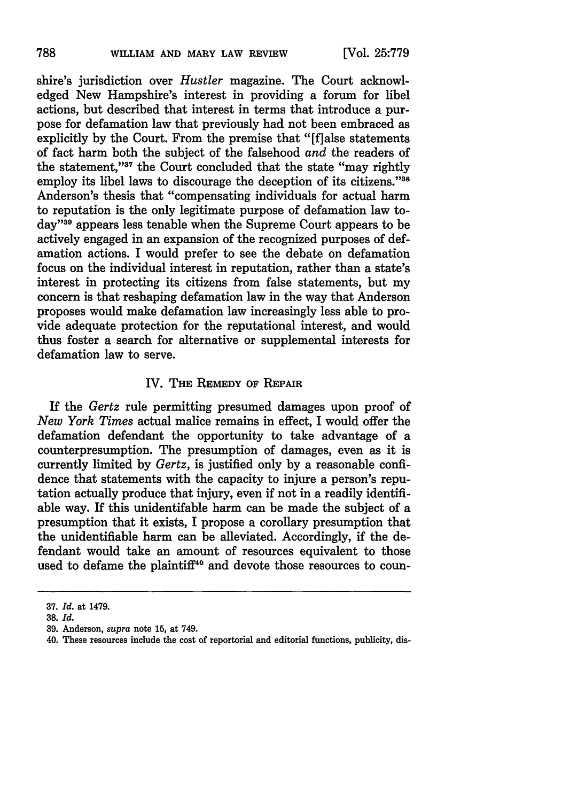shire's jurisdiction over *Hustler* magazine. The Court acknowledged New Hampshire's interest in providing a forum for libel actions, but described that interest in terms that introduce a purpose for defamation law that previously had not been embraced as explicitly by the Court. From the premise that "[flalse statements of fact harm both the subject of the falsehood *and* the readers of the statement,"37 the Court concluded that the state "may rightly employ its libel laws to discourage the deception of its citizens."<sup>38</sup> Anderson's thesis that "compensating individuals for actual harm to reputation is the only legitimate purpose of defamation law today"<sup>39</sup> appears less tenable when the Supreme Court appears to be actively engaged in an expansion of the recognized purposes of defamation actions. I would prefer to see the debate on defamation focus on the individual interest in reputation, rather than a state's interest in protecting its citizens from false statements, but my concern is that reshaping defamation law in the way that Anderson proposes would make defamation law increasingly less able to provide adequate protection for the reputational interest, and would thus foster a search for alternative or supplemental interests for defamation law to serve.

# IV. **THE REMEDY OF REPAIR**

If the *Gertz* rule permitting presumed damages upon proof of *New York Times* actual malice remains in effect, I would offer the defamation defendant the opportunity to take advantage of a counterpresumption. The presumption of damages, even as it is currently limited **by** *Gertz,* is justified only **by** a reasonable confidence that statements with the capacity to injure a person's reputation actually produce that injury, even if not in a readily identifiable way. If this unidentifable harm can be made the subject of a presumption that it exists, I propose a corollary presumption that the unidentifiable harm can be alleviated. Accordingly, if the defendant would take an amount of resources equivalent to those used to defame the plaintiff<sup>40</sup> and devote those resources to coun-

**<sup>37.</sup>** *Id.* at 1479.

**<sup>38.</sup>** *Id.*

**<sup>39.</sup>** Anderson, *supra* note **15,** at 749.

<sup>40.</sup> These resources include the cost of reportorial and editorial functions, publicity, dis-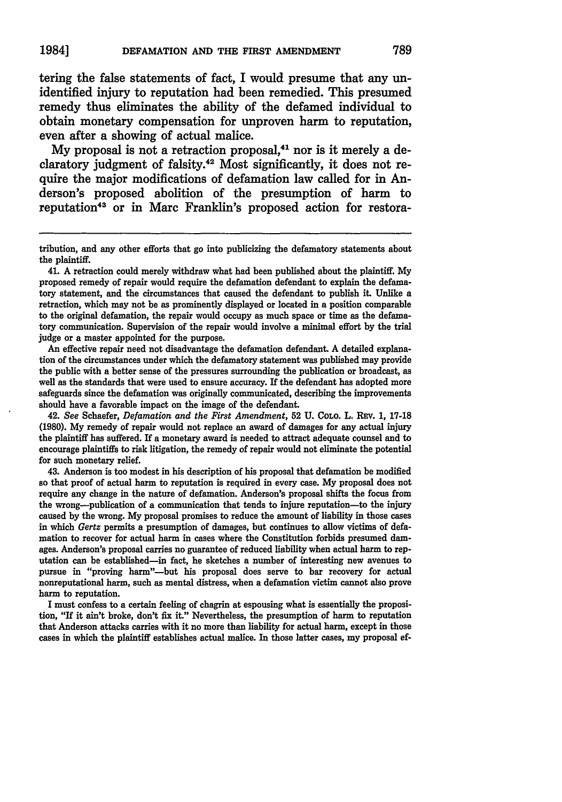tering the false statements of fact, I would presume that any unidentified injury to reputation had been remedied. This presumed remedy thus eliminates the ability of the defamed individual to obtain monetary compensation for unproven harm to reputation, even after a showing of actual malice.

My proposal is not a retraction proposal.<sup>41</sup> nor is it merely a declaratory judgment of falsity.42 Most significantly, it does not require the major modifications of defamation law called for in Anderson's proposed abolition of the presumption of harm to reputation<sup>43</sup> or in Marc Franklin's proposed action for restora-

An effective repair need not disadvantage the defamation defendant. **A** detailed explanation of the circumstances under which the defamatory statement was published may provide the public with a better sense of the pressures surrounding the publication or broadcast, as well as the standards that were used to ensure accuracy. If the defendant has adopted more safeguards since the defamation was originally communicated, describing the improvements should have a favorable impact on the image of the defendant.

42. *See* Schaefer, *Defamation and the Mrst Amendment,* **52 U.** COLo. L. **REV. 1, 17-18 (1980). My** remedy of repair would not replace an award of damages for any actual injury the plaintiff has suffered. If a monetary award is needed to attract adequate counsel and to encourage plaintiffs to risk litigation, the remedy of repair would not eliminate the potential for such monetary relief.

43. Anderson is too modest in his description of his proposal that defamation be modified so that proof of actual harm to reputation is required in every case. **My** proposal does not require any change in the nature of defamation. Anderson's proposal shifts the focus from the wrong-publication of a communication that tends to injure reputation-to the injury caused **by** the wrong. **My** proposal promises to reduce the amount of liability in those cases in which *Gertz* permits a presumption of damages, but continues to allow victims of defamation to recover for actual harm in cases where the Constitution forbids presumed damages. Anderson's proposal carries no guarantee of reduced liability when actual harm to reputation can be established-in fact, he sketches a number of interesting new avenues to pursue in "proving harm"-but his proposal does serve to bar recovery for actual nonreputational harm, such as mental distress, when a defamation victim cannot also prove harm to reputation.

I must confess to a certain feeling of chagrin at espousing what is essentially the proposition, "If it ain't broke, don't fix it." Nevertheless, the presumption of harm to reputation that Anderson attacks carries with it no more than liability for actual harm, except in those cases in which the plaintiff establishes actual malice. In those latter cases, my proposal ef-

tribution, and any other efforts that go into publicizing the defamatory statements about the plaintiff.

<sup>41.</sup> **A** retraction could merely withdraw what had been published about the plaintiff. **My** proposed remedy of repair would require the defamation defendant to explain the defamatory statement, and the circumstances that caused the defendant to publish it. Unlike a retraction, which may not be as prominently displayed or located in a position comparable to the original defamation, the repair would occupy as much space or time as the defamatory communication. Supervision of the repair would involve a minimal effort **by** the trial judge or a master appointed for the purpose.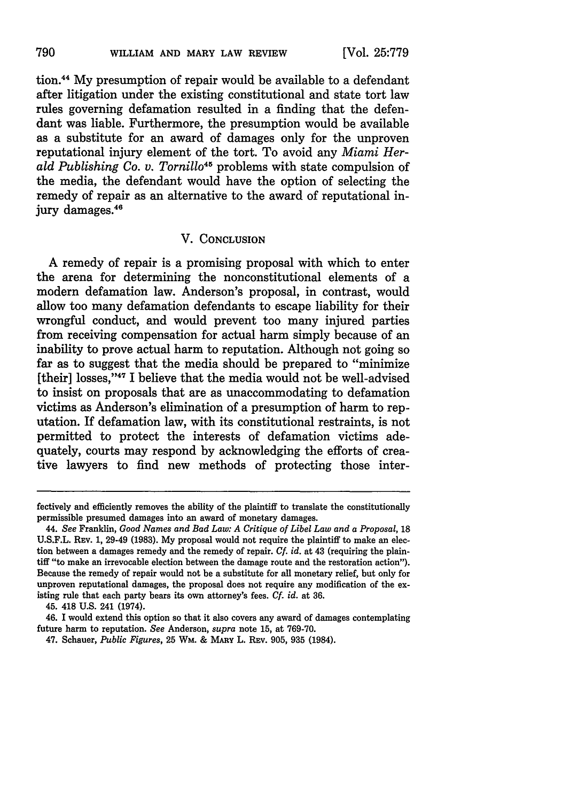tion.44 My presumption of repair would be available to a defendant after litigation under the existing constitutional and state tort law rules governing defamation resulted in a finding that the defendant was liable. Furthermore, the presumption would be available as a substitute for an award of damages only for the unproven reputational injury element of the tort. To avoid any *Miami Herald Publishing Co. v. Tornillo45* problems with state compulsion of the media, the defendant would have the option of selecting the remedy of repair as an alternative to the award of reputational injury damages.<sup>46</sup>

### V. **CONCLUSION**

A remedy of repair is a promising proposal with which to enter the arena for determining the nonconstitutional elements of a modern defamation law. Anderson's proposal, in contrast, would allow too many defamation defendants to escape liability for their wrongful conduct, and would prevent too many injured parties from receiving compensation for actual harm simply because of an inability to prove actual harm to reputation. Although not going so far as to suggest that the media should be prepared to "minimize [their] losses,"<sup>47</sup> I believe that the media would not be well-advised to insist on proposals that are as unaccommodating to defamation victims as Anderson's elimination of a presumption of harm to reputation. If defamation law, with its constitutional restraints, is not permitted to protect the interests of defamation victims adequately, courts may respond by acknowledging the efforts of creative lawyers to find new methods of protecting those inter-

fectively and efficiently removes the ability of the plaintiff to translate the constitutionally permissible presumed damages into an award of monetary damages.

*<sup>44.</sup> See* Franklin, *Good Names and Bad Law: A Critique of Libel Law and a Proposal,* **18** U.S.F.L. REv. 1, 29-49 (1983). My proposal would not require the plaintiff to make an election between a damages remedy and the remedy of repair. *Cf. id.* at 43 (requiring the plaintiff "to make an irrevocable election between the damage route and the restoration action"). Because the remedy of repair would not be a substitute for all monetary relief, but only for unproven reputational damages, the proposal does not require any modification of the existing rule that each party bears its own attorney's fees. *Cf. id.* at 36.

<sup>45. 418</sup> U.S. 241 (1974).

<sup>46.</sup> **I** would extend this option so that it also covers any award of damages contemplating future harm to reputation. *See* Anderson, *supra* note 15, at 769-70.

<sup>47.</sup> Schauer, *Public Figures,* 25 WM. **& MARY** L. **REv.** 905, 935 (1984).